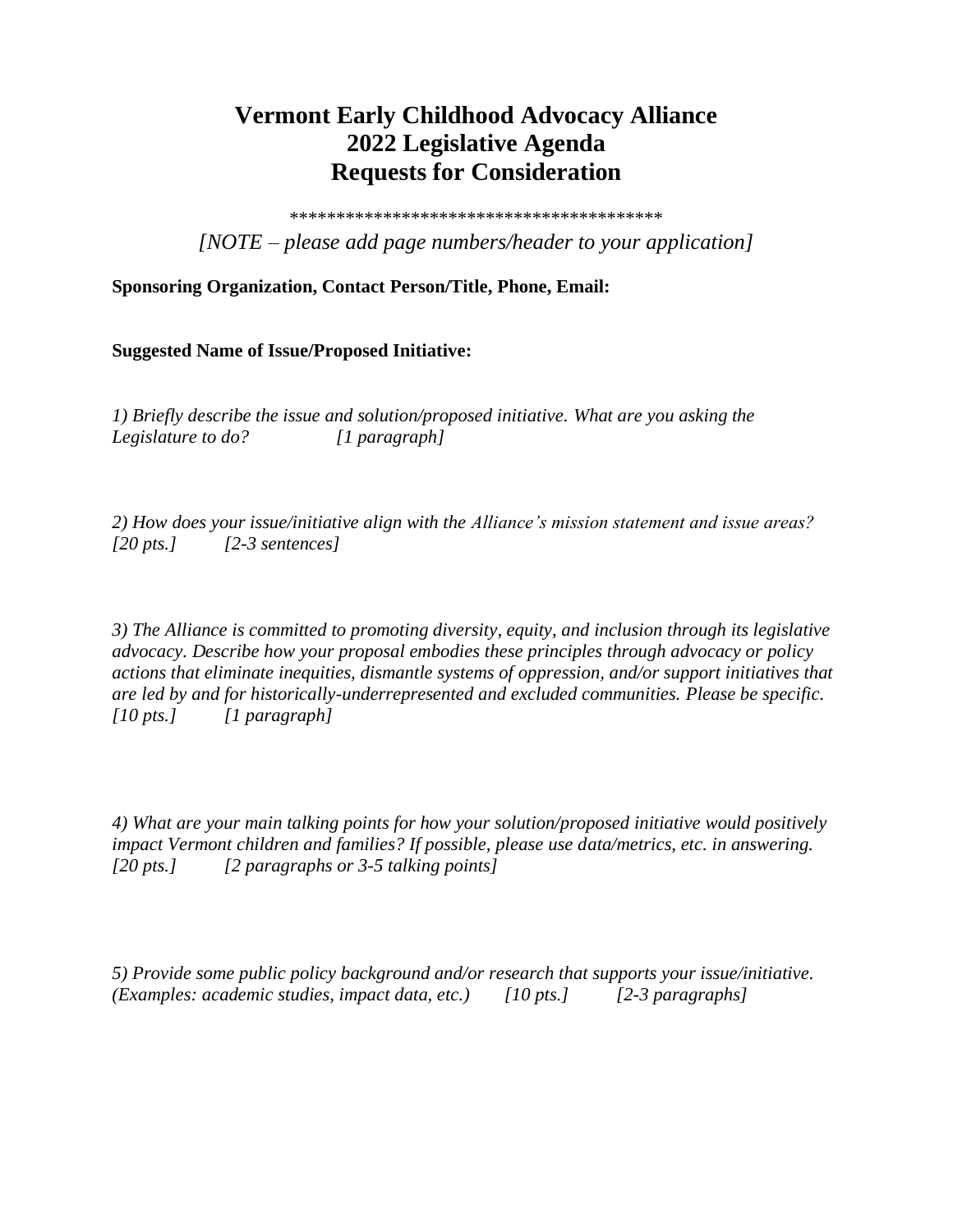## **Vermont Early Childhood Advocacy Alliance 2022 Legislative Agenda Requests for Consideration**

\*\*\*\*\*\*\*\*\*\*\*\*\*\*\*\*\*\*\*\*\*\*\*\*\*\*\*\*\*\*\*\*\*\*\*\*\*\*\*\* *[NOTE – please add page numbers/header to your application]*

**Sponsoring Organization, Contact Person/Title, Phone, Email:**

## **Suggested Name of Issue/Proposed Initiative:**

*1) Briefly describe the issue and solution/proposed initiative. What are you asking the Legislature to do? [1 paragraph]*

*2) How does your issue/initiative align with the Alliance's mission statement and issue areas? [20 pts.] [2-3 sentences]*

*3) The Alliance is committed to promoting diversity, equity, and inclusion through its legislative advocacy. Describe how your proposal embodies these principles through advocacy or policy actions that eliminate inequities, dismantle systems of oppression, and/or support initiatives that are led by and for historically-underrepresented and excluded communities. Please be specific. [10 pts.] [1 paragraph]*

*4) What are your main talking points for how your solution/proposed initiative would positively impact Vermont children and families? If possible, please use data/metrics, etc. in answering. [20 pts.] [2 paragraphs or 3-5 talking points]*

*5) Provide some public policy background and/or research that supports your issue/initiative. (Examples: academic studies, impact data, etc.) [10 pts.] [2-3 paragraphs]*